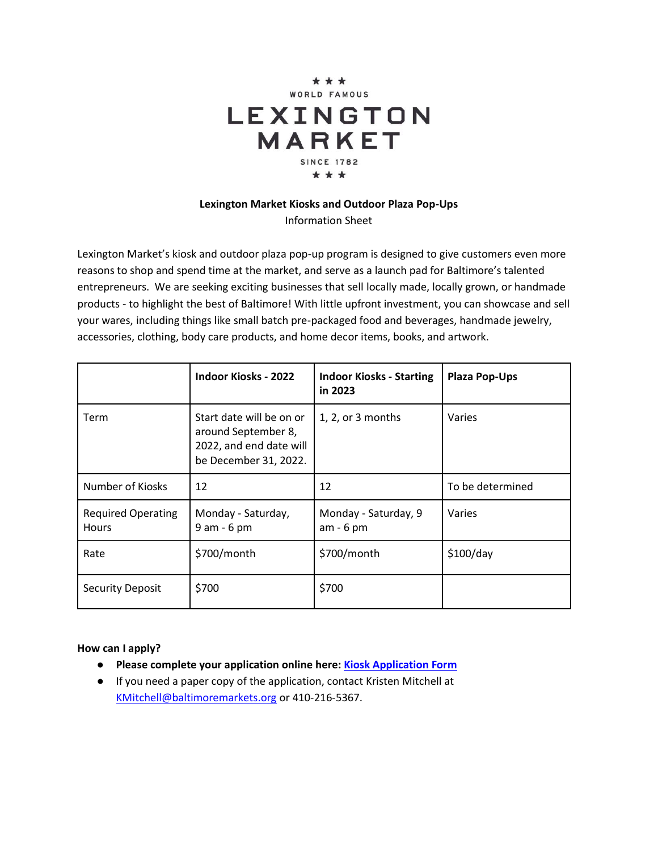

# **Lexington Market Kiosks and Outdoor Plaza Pop-Ups**

Information Sheet

Lexington Market's kiosk and outdoor plaza pop-up program is designed to give customers even more reasons to shop and spend time at the market, and serve as a launch pad for Baltimore's talented entrepreneurs. We are seeking exciting businesses that sell locally made, locally grown, or handmade products - to highlight the best of Baltimore! With little upfront investment, you can showcase and sell your wares, including things like small batch pre-packaged food and beverages, handmade jewelry, accessories, clothing, body care products, and home decor items, books, and artwork.

|                                           | <b>Indoor Kiosks - 2022</b>                                                                         | <b>Indoor Kiosks - Starting</b><br>in 2023 | <b>Plaza Pop-Ups</b> |
|-------------------------------------------|-----------------------------------------------------------------------------------------------------|--------------------------------------------|----------------------|
| Term                                      | Start date will be on or<br>around September 8,<br>2022, and end date will<br>be December 31, 2022. | 1, 2, or 3 months                          | Varies               |
| Number of Kiosks                          | 12                                                                                                  | 12                                         | To be determined     |
| <b>Required Operating</b><br><b>Hours</b> | Monday - Saturday,<br>9 am - 6 pm                                                                   | Monday - Saturday, 9<br>$am - 6 pm$        | Varies               |
| Rate                                      | \$700/month                                                                                         | \$700/month                                | \$100/day            |
| <b>Security Deposit</b>                   | \$700                                                                                               | \$700                                      |                      |

### **How can I apply?**

- **Please complete your application online here: [Kiosk Application Form](https://forms.gle/u9vAN7p5BWGDLWZBA)**
- If you need a paper copy of the application, contact Kristen Mitchell at [KMitchell@baltimoremarkets.org](mailto:KMitchell@baltimoremarkets.org) or 410-216-5367.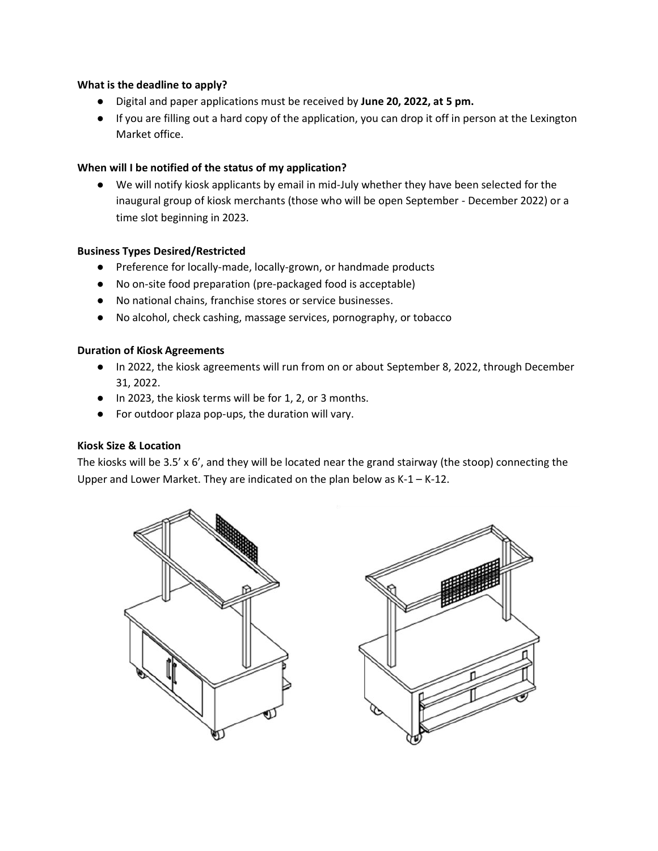### **What is the deadline to apply?**

- Digital and paper applications must be received by **June 20, 2022, at 5 pm.**
- If you are filling out a hard copy of the application, you can drop it off in person at the Lexington Market office.

## **When will I be notified of the status of my application?**

● We will notify kiosk applicants by email in mid-July whether they have been selected for the inaugural group of kiosk merchants (those who will be open September - December 2022) or a time slot beginning in 2023.

### **Business Types Desired/Restricted**

- Preference for locally-made, locally-grown, or handmade products
- No on-site food preparation (pre-packaged food is acceptable)
- No national chains, franchise stores or service businesses.
- No alcohol, check cashing, massage services, pornography, or tobacco

### **Duration of Kiosk Agreements**

- In 2022, the kiosk agreements will run from on or about September 8, 2022, through December 31, 2022.
- In 2023, the kiosk terms will be for 1, 2, or 3 months.
- For outdoor plaza pop-ups, the duration will vary.

### **Kiosk Size & Location**

The kiosks will be 3.5' x 6', and they will be located near the grand stairway (the stoop) connecting the Upper and Lower Market. They are indicated on the plan below as K-1 – K-12.



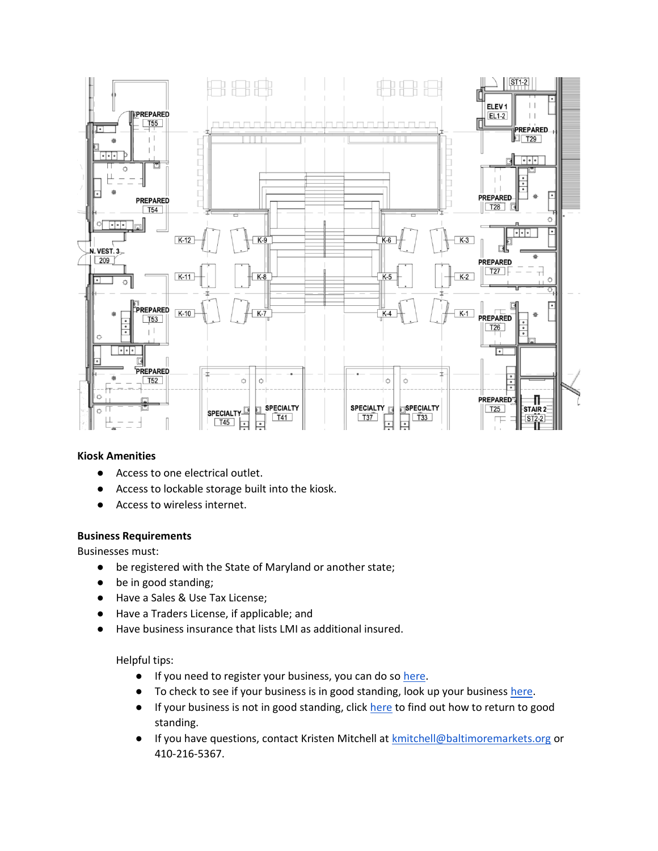

### **Kiosk Amenities**

- Access to one electrical outlet.
- Access to lockable storage built into the kiosk.
- Access to wireless internet.

#### **Business Requirements**

Businesses must:

- be registered with the State of Maryland or another state;
- be in good standing;
- Have a Sales & Use Tax License;
- Have a Traders License, if applicable; and
- Have business insurance that lists LMI as additional insured.

Helpful tips:

- If you need to register your business, you can do s[o here.](https://egov.maryland.gov/BusinessExpress/Account/LogOn?ReturnUrl=%2fBusinessExpress%2fUBD%2fCreate)
- To check to see if your business is in good standing, look up your business [here.](https://egov.maryland.gov/BusinessExpress/EntitySearch)
- If your business is not in good standing, click [here](https://dat.maryland.gov/businesses/Documents/entitystatus.pdf) to find out how to return to good standing.
- If you have questions, contact Kristen Mitchell a[t kmitchell@baltimoremarkets.org](mailto:kmitchell@baltimoremarkets.org) or 410-216-5367.